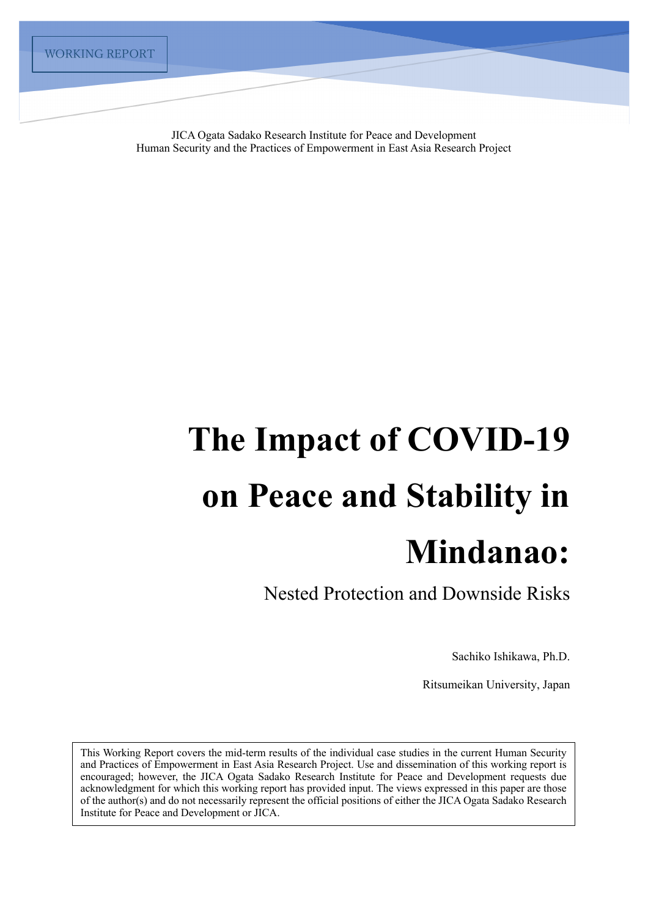JICA Ogata Sadako Research Institute for Peace and Development Human Security and the Practices of Empowerment in East Asia Research Project

# **The Impact of COVID-19 on Peace and Stability in Mindanao:**

Nested Protection and Downside Risks

Sachiko Ishikawa, Ph.D.

Ritsumeikan University, Japan

This Working Report covers the mid-term results of the individual case studies in the current Human Security and Practices of Empowerment in East Asia Research Project. Use and dissemination of this working report is encouraged; however, the JICA Ogata Sadako Research Institute for Peace and Development requests due acknowledgment for which this working report has provided input. The views expressed in this paper are those of the author(s) and do not necessarily represent the official positions of either the JICA Ogata Sadako Research Institute for Peace and Development or JICA.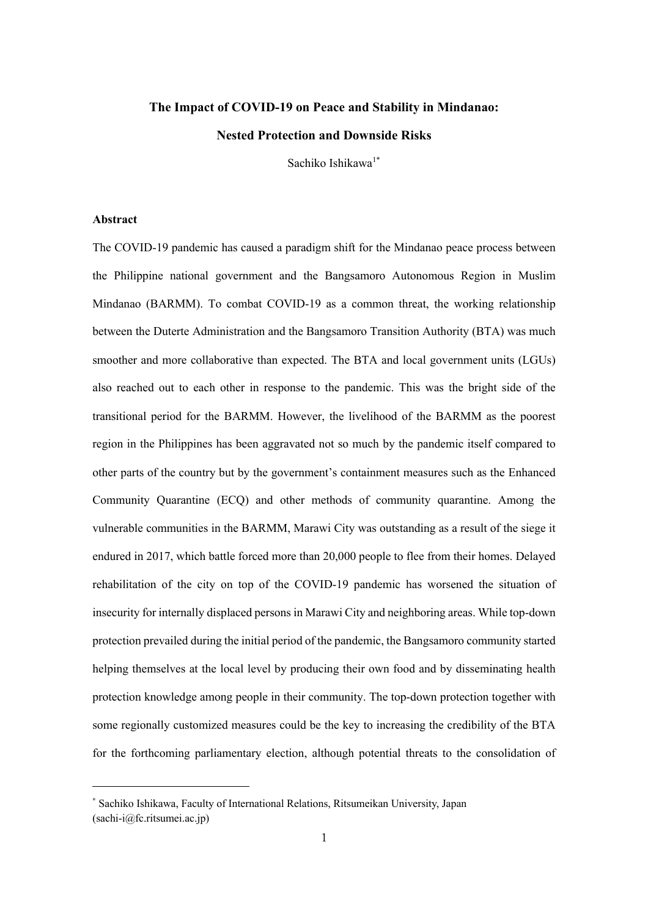# **The Impact of COVID-19 on Peace and Stability in Mindanao: Nested Protection and Downside Risks**

Sachiko Ishikawa1\*

### **Abstract**

The COVID-19 pandemic has caused a paradigm shift for the Mindanao peace process between the Philippine national government and the Bangsamoro Autonomous Region in Muslim Mindanao (BARMM). To combat COVID-19 as a common threat, the working relationship between the Duterte Administration and the Bangsamoro Transition Authority (BTA) was much smoother and more collaborative than expected. The BTA and local government units (LGUs) also reached out to each other in response to the pandemic. This was the bright side of the transitional period for the BARMM. However, the livelihood of the BARMM as the poorest region in the Philippines has been aggravated not so much by the pandemic itself compared to other parts of the country but by the government's containment measures such as the Enhanced Community Quarantine (ECQ) and other methods of community quarantine. Among the vulnerable communities in the BARMM, Marawi City was outstanding as a result of the siege it endured in 2017, which battle forced more than 20,000 people to flee from their homes. Delayed rehabilitation of the city on top of the COVID-19 pandemic has worsened the situation of insecurity for internally displaced persons in Marawi City and neighboring areas. While top-down protection prevailed during the initial period of the pandemic, the Bangsamoro community started helping themselves at the local level by producing their own food and by disseminating health protection knowledge among people in their community. The top-down protection together with some regionally customized measures could be the key to increasing the credibility of the BTA for the forthcoming parliamentary election, although potential threats to the consolidation of

<sup>\*</sup> Sachiko Ishikawa, Faculty of International Relations, Ritsumeikan University, Japan (sachi-i@fc.ritsumei.ac.jp)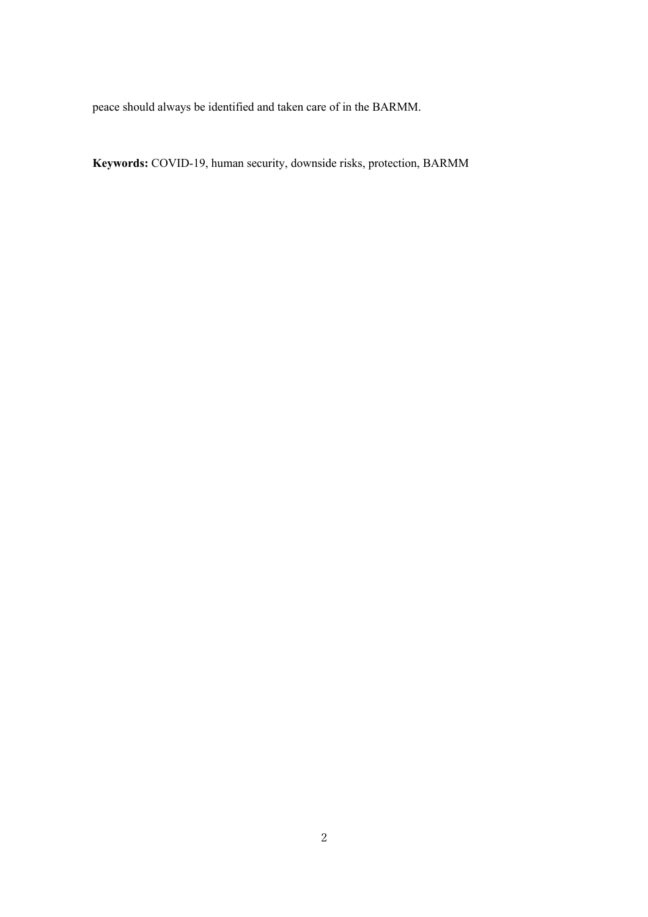peace should always be identified and taken care of in the BARMM.

**Keywords:** COVID-19, human security, downside risks, protection, BARMM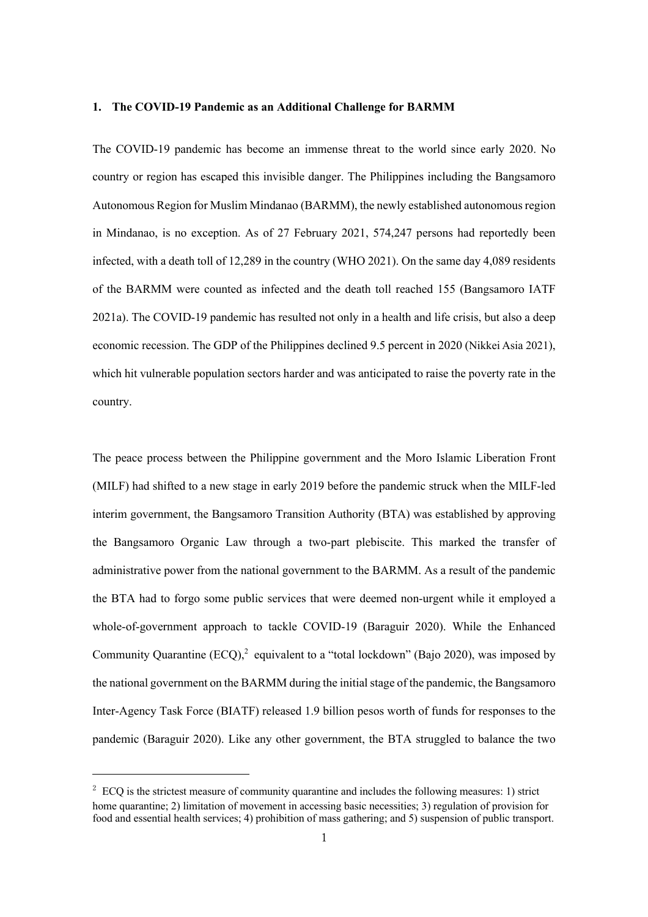#### **1. The COVID-19 Pandemic as an Additional Challenge for BARMM**

The COVID-19 pandemic has become an immense threat to the world since early 2020. No country or region has escaped this invisible danger. The Philippines including the Bangsamoro Autonomous Region for Muslim Mindanao (BARMM), the newly established autonomous region in Mindanao, is no exception. As of 27 February 2021, 574,247 persons had reportedly been infected, with a death toll of 12,289 in the country (WHO 2021). On the same day 4,089 residents of the BARMM were counted as infected and the death toll reached 155 (Bangsamoro IATF 2021a). The COVID-19 pandemic has resulted not only in a health and life crisis, but also a deep economic recession. The GDP of the Philippines declined 9.5 percent in 2020 (Nikkei Asia 2021), which hit vulnerable population sectors harder and was anticipated to raise the poverty rate in the country.

The peace process between the Philippine government and the Moro Islamic Liberation Front (MILF) had shifted to a new stage in early 2019 before the pandemic struck when the MILF-led interim government, the Bangsamoro Transition Authority (BTA) was established by approving the Bangsamoro Organic Law through a two-part plebiscite. This marked the transfer of administrative power from the national government to the BARMM. As a result of the pandemic the BTA had to forgo some public services that were deemed non-urgent while it employed a whole-of-government approach to tackle COVID-19 (Baraguir 2020). While the Enhanced Community Quarantine  $(ECQ)$ , equivalent to a "total lockdown" (Bajo 2020), was imposed by the national government on the BARMM during the initial stage of the pandemic, the Bangsamoro Inter-Agency Task Force (BIATF) released 1.9 billion pesos worth of funds for responses to the pandemic (Baraguir 2020). Like any other government, the BTA struggled to balance the two

 $2^{2}$  ECQ is the strictest measure of community quarantine and includes the following measures: 1) strict home quarantine; 2) limitation of movement in accessing basic necessities; 3) regulation of provision for food and essential health services; 4) prohibition of mass gathering; and 5) suspension of public transport.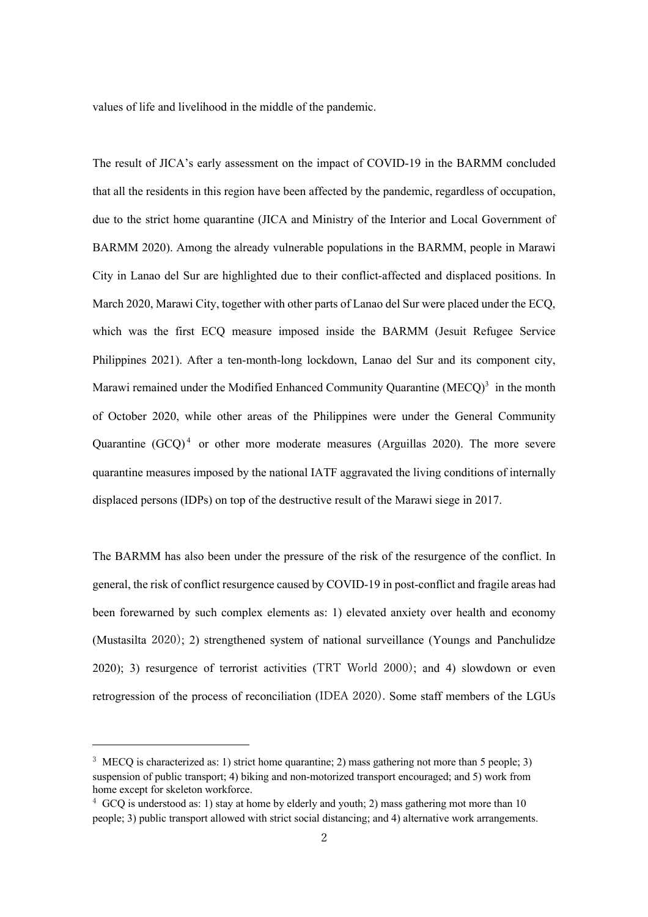values of life and livelihood in the middle of the pandemic.

The result of JICA's early assessment on the impact of COVID-19 in the BARMM concluded that all the residents in this region have been affected by the pandemic, regardless of occupation, due to the strict home quarantine (JICA and Ministry of the Interior and Local Government of BARMM 2020). Among the already vulnerable populations in the BARMM, people in Marawi City in Lanao del Sur are highlighted due to their conflict-affected and displaced positions. In March 2020, Marawi City, together with other parts of Lanao del Sur were placed under the ECQ, which was the first ECQ measure imposed inside the BARMM (Jesuit Refugee Service Philippines 2021). After a ten-month-long lockdown, Lanao del Sur and its component city, Marawi remained under the Modified Enhanced Community Quarantine (MECO)<sup>3</sup> in the month of October 2020, while other areas of the Philippines were under the General Community Quarantine  $(GCO)^4$  or other more moderate measures (Arguillas 2020). The more severe quarantine measures imposed by the national IATF aggravated the living conditions of internally displaced persons (IDPs) on top of the destructive result of the Marawi siege in 2017.

The BARMM has also been under the pressure of the risk of the resurgence of the conflict. In general, the risk of conflict resurgence caused by COVID-19 in post-conflict and fragile areas had been forewarned by such complex elements as: 1) elevated anxiety over health and economy (Mustasilta 2020); 2) strengthened system of national surveillance (Youngs and Panchulidze 2020); 3) resurgence of terrorist activities (TRT World 2000); and 4) slowdown or even retrogression of the process of reconciliation (IDEA 2020). Some staff members of the LGUs

<sup>&</sup>lt;sup>3</sup> MECQ is characterized as: 1) strict home quarantine; 2) mass gathering not more than 5 people; 3) suspension of public transport; 4) biking and non-motorized transport encouraged; and 5) work from home except for skeleton workforce.

 $4\,$  GCQ is understood as: 1) stay at home by elderly and youth; 2) mass gathering mot more than 10 people; 3) public transport allowed with strict social distancing; and 4) alternative work arrangements.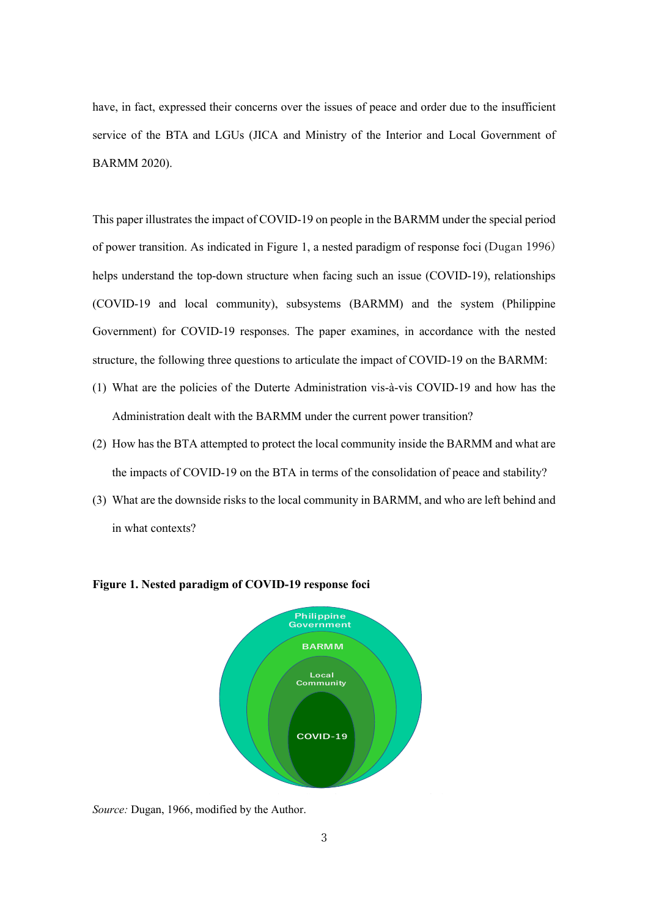have, in fact, expressed their concerns over the issues of peace and order due to the insufficient service of the BTA and LGUs (JICA and Ministry of the Interior and Local Government of BARMM 2020).

This paper illustrates the impact of COVID-19 on people in the BARMM under the special period of power transition. As indicated in Figure 1, a nested paradigm of response foci (Dugan 1996) helps understand the top-down structure when facing such an issue (COVID-19), relationships (COVID-19 and local community), subsystems (BARMM) and the system (Philippine Government) for COVID-19 responses. The paper examines, in accordance with the nested structure, the following three questions to articulate the impact of COVID-19 on the BARMM:

- (1) What are the policies of the Duterte Administration vis-à-vis COVID-19 and how has the Administration dealt with the BARMM under the current power transition?
- (2) How has the BTA attempted to protect the local community inside the BARMM and what are the impacts of COVID-19 on the BTA in terms of the consolidation of peace and stability?
- (3) What are the downside risks to the local community in BARMM, and who are left behind and in what contexts?



**Figure 1. Nested paradigm of COVID-19 response foci**

*Source:* Dugan, 1966, modified by the Author.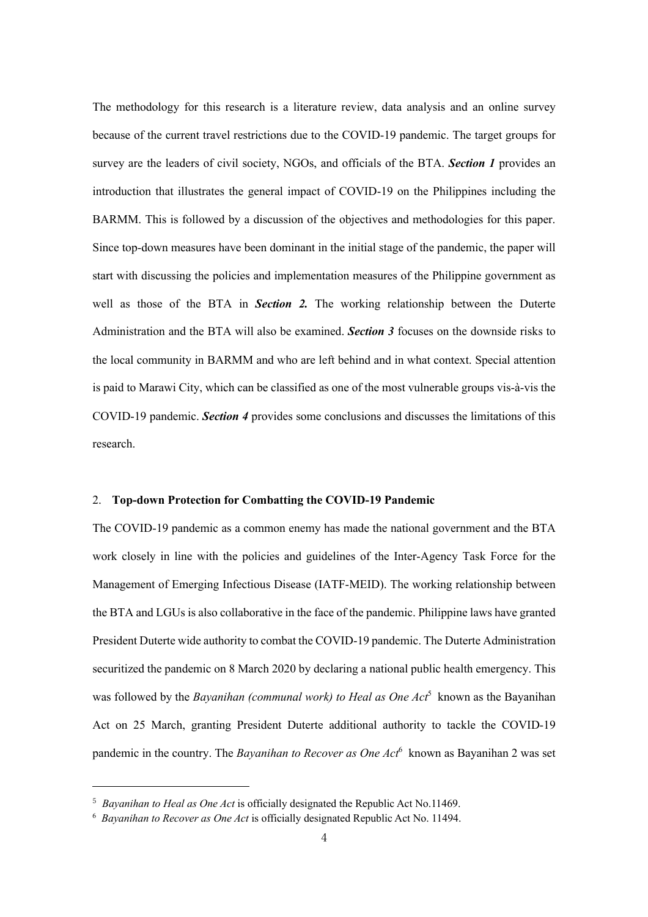The methodology for this research is a literature review, data analysis and an online survey because of the current travel restrictions due to the COVID-19 pandemic. The target groups for survey are the leaders of civil society, NGOs, and officials of the BTA. *Section 1* provides an introduction that illustrates the general impact of COVID-19 on the Philippines including the BARMM. This is followed by a discussion of the objectives and methodologies for this paper. Since top-down measures have been dominant in the initial stage of the pandemic, the paper will start with discussing the policies and implementation measures of the Philippine government as well as those of the BTA in *Section 2.* The working relationship between the Duterte Administration and the BTA will also be examined. *Section 3* focuses on the downside risks to the local community in BARMM and who are left behind and in what context. Special attention is paid to Marawi City, which can be classified as one of the most vulnerable groups vis-à-vis the COVID-19 pandemic. *Section 4* provides some conclusions and discusses the limitations of this research.

## 2. **Top-down Protection for Combatting the COVID-19 Pandemic**

The COVID-19 pandemic as a common enemy has made the national government and the BTA work closely in line with the policies and guidelines of the Inter-Agency Task Force for the Management of Emerging Infectious Disease (IATF-MEID). The working relationship between the BTA and LGUs is also collaborative in the face of the pandemic. Philippine laws have granted President Duterte wide authority to combat the COVID-19 pandemic. The Duterte Administration securitized the pandemic on 8 March 2020 by declaring a national public health emergency. This was followed by the *Bayanihan (communal work) to Heal as One Act*<sup>5</sup> known as the Bayanihan Act on 25 March, granting President Duterte additional authority to tackle the COVID-19 pandemic in the country. The *Bayanihan to Recover as One Act*<sup>6</sup> known as Bayanihan 2 was set

<sup>5</sup> *Bayanihan to Heal as One Act* is officially designated the Republic Act No.11469.

<sup>6</sup> *Bayanihan to Recover as One Act* is officially designated Republic Act No. 11494.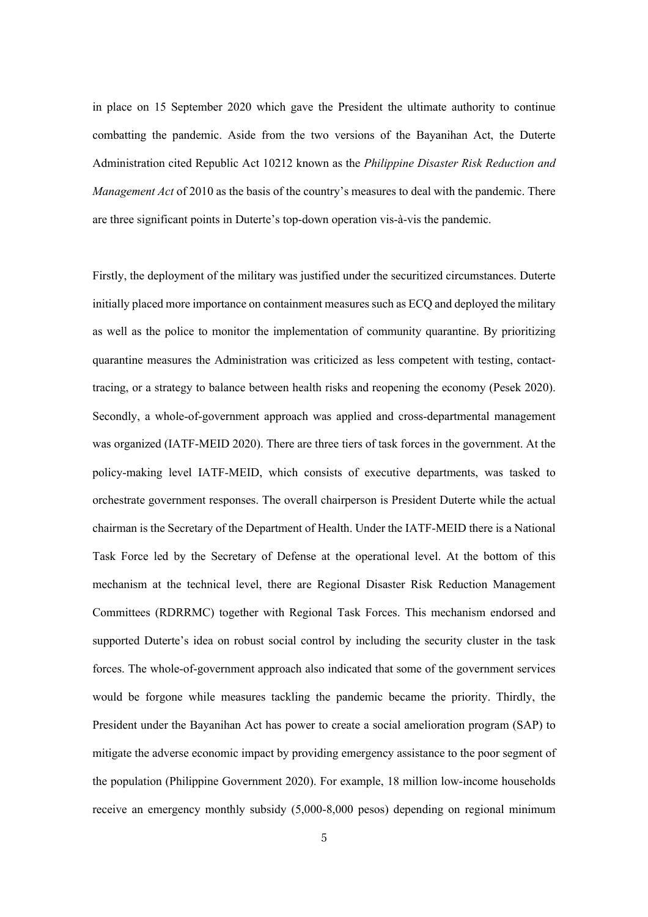in place on 15 September 2020 which gave the President the ultimate authority to continue combatting the pandemic. Aside from the two versions of the Bayanihan Act, the Duterte Administration cited Republic Act 10212 known as the *Philippine Disaster Risk Reduction and Management Act* of 2010 as the basis of the country's measures to deal with the pandemic. There are three significant points in Duterte's top-down operation vis-à-vis the pandemic.

Firstly, the deployment of the military was justified under the securitized circumstances. Duterte initially placed more importance on containment measures such as ECQ and deployed the military as well as the police to monitor the implementation of community quarantine. By prioritizing quarantine measures the Administration was criticized as less competent with testing, contacttracing, or a strategy to balance between health risks and reopening the economy (Pesek 2020). Secondly, a whole-of-government approach was applied and cross-departmental management was organized (IATF-MEID 2020). There are three tiers of task forces in the government. At the policy-making level IATF-MEID, which consists of executive departments, was tasked to orchestrate government responses. The overall chairperson is President Duterte while the actual chairman is the Secretary of the Department of Health. Under the IATF-MEID there is a National Task Force led by the Secretary of Defense at the operational level. At the bottom of this mechanism at the technical level, there are Regional Disaster Risk Reduction Management Committees (RDRRMC) together with Regional Task Forces. This mechanism endorsed and supported Duterte's idea on robust social control by including the security cluster in the task forces. The whole-of-government approach also indicated that some of the government services would be forgone while measures tackling the pandemic became the priority. Thirdly, the President under the Bayanihan Act has power to create a social amelioration program (SAP) to mitigate the adverse economic impact by providing emergency assistance to the poor segment of the population (Philippine Government 2020). For example, 18 million low-income households receive an emergency monthly subsidy (5,000-8,000 pesos) depending on regional minimum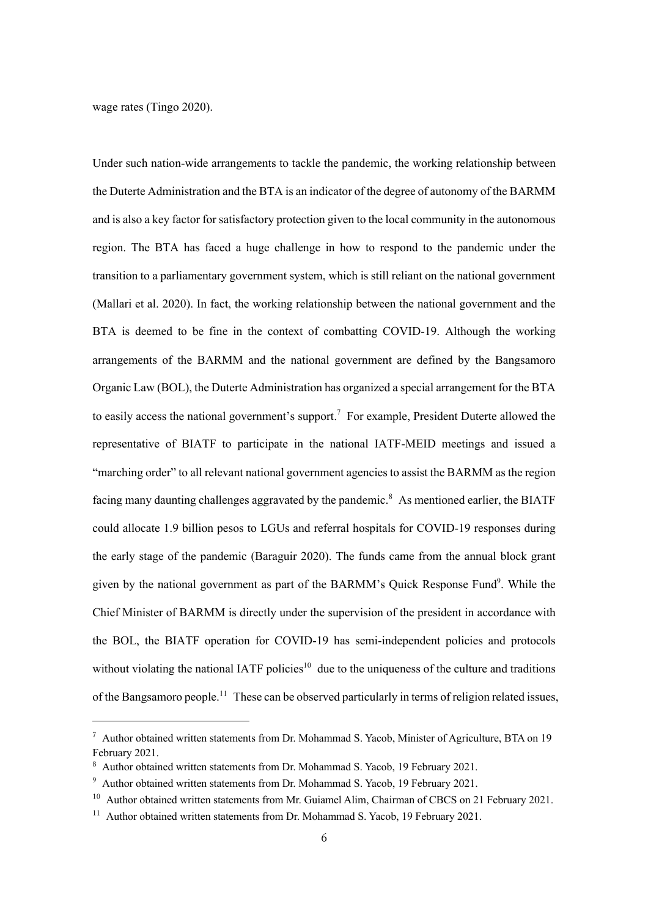wage rates (Tingo 2020).

Under such nation-wide arrangements to tackle the pandemic, the working relationship between the Duterte Administration and the BTA is an indicator of the degree of autonomy of the BARMM and is also a key factor for satisfactory protection given to the local community in the autonomous region. The BTA has faced a huge challenge in how to respond to the pandemic under the transition to a parliamentary government system, which is still reliant on the national government (Mallari et al. 2020). In fact, the working relationship between the national government and the BTA is deemed to be fine in the context of combatting COVID-19. Although the working arrangements of the BARMM and the national government are defined by the Bangsamoro Organic Law (BOL), the Duterte Administration has organized a special arrangement for the BTA to easily access the national government's support.<sup>7</sup> For example, President Duterte allowed the representative of BIATF to participate in the national IATF-MEID meetings and issued a "marching order" to all relevant national government agencies to assist the BARMM as the region facing many daunting challenges aggravated by the pandemic.<sup>8</sup> As mentioned earlier, the BIATF could allocate 1.9 billion pesos to LGUs and referral hospitals for COVID-19 responses during the early stage of the pandemic (Baraguir 2020). The funds came from the annual block grant given by the national government as part of the BARMM's Quick Response Fund<sup>9</sup>. While the Chief Minister of BARMM is directly under the supervision of the president in accordance with the BOL, the BIATF operation for COVID-19 has semi-independent policies and protocols without violating the national IATF policies<sup>10</sup> due to the uniqueness of the culture and traditions of the Bangsamoro people.<sup>11</sup> These can be observed particularly in terms of religion related issues,

<sup>&</sup>lt;sup>7</sup> Author obtained written statements from Dr. Mohammad S. Yacob, Minister of Agriculture, BTA on 19 February 2021.

<sup>8</sup> Author obtained written statements from Dr. Mohammad S. Yacob, 19 February 2021.

<sup>&</sup>lt;sup>9</sup> Author obtained written statements from Dr. Mohammad S. Yacob, 19 February 2021.

<sup>&</sup>lt;sup>10</sup> Author obtained written statements from Mr. Guiamel Alim, Chairman of CBCS on 21 February 2021.

<sup>&</sup>lt;sup>11</sup> Author obtained written statements from Dr. Mohammad S. Yacob, 19 February 2021.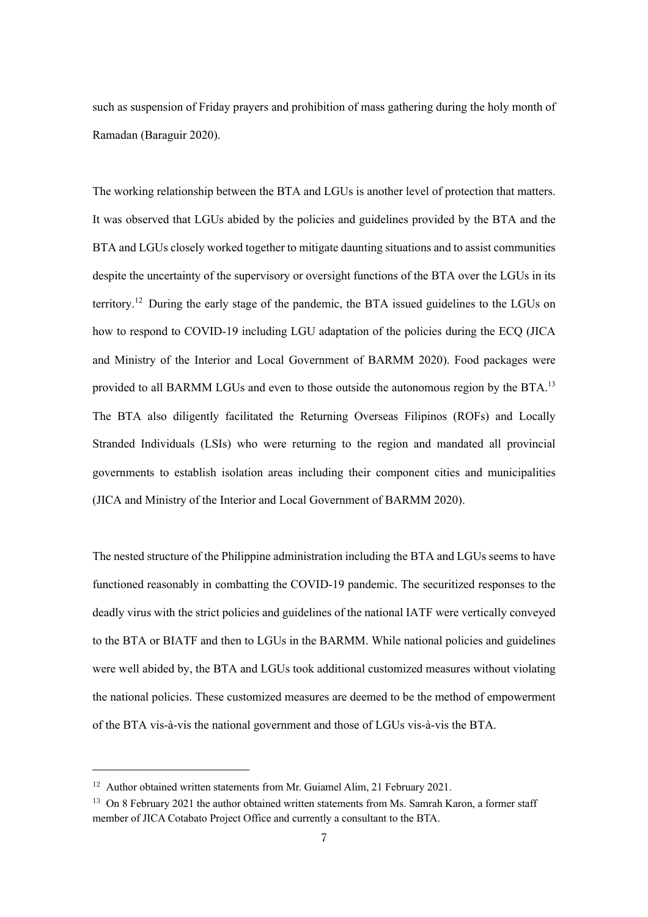such as suspension of Friday prayers and prohibition of mass gathering during the holy month of Ramadan (Baraguir 2020).

The working relationship between the BTA and LGUs is another level of protection that matters. It was observed that LGUs abided by the policies and guidelines provided by the BTA and the BTA and LGUs closely worked together to mitigate daunting situations and to assist communities despite the uncertainty of the supervisory or oversight functions of the BTA over the LGUs in its territory.<sup>12</sup> During the early stage of the pandemic, the BTA issued guidelines to the LGUs on how to respond to COVID-19 including LGU adaptation of the policies during the ECQ (JICA and Ministry of the Interior and Local Government of BARMM 2020). Food packages were provided to all BARMM LGUs and even to those outside the autonomous region by the BTA.<sup>13</sup> The BTA also diligently facilitated the Returning Overseas Filipinos (ROFs) and Locally Stranded Individuals (LSIs) who were returning to the region and mandated all provincial governments to establish isolation areas including their component cities and municipalities (JICA and Ministry of the Interior and Local Government of BARMM 2020).

The nested structure of the Philippine administration including the BTA and LGUs seems to have functioned reasonably in combatting the COVID-19 pandemic. The securitized responses to the deadly virus with the strict policies and guidelines of the national IATF were vertically conveyed to the BTA or BIATF and then to LGUs in the BARMM. While national policies and guidelines were well abided by, the BTA and LGUs took additional customized measures without violating the national policies. These customized measures are deemed to be the method of empowerment of the BTA vis-à-vis the national government and those of LGUs vis-à-vis the BTA.

<sup>&</sup>lt;sup>12</sup> Author obtained written statements from Mr. Guiamel Alim, 21 February 2021.

 $13$  On 8 February 2021 the author obtained written statements from Ms. Samrah Karon, a former staff member of JICA Cotabato Project Office and currently a consultant to the BTA.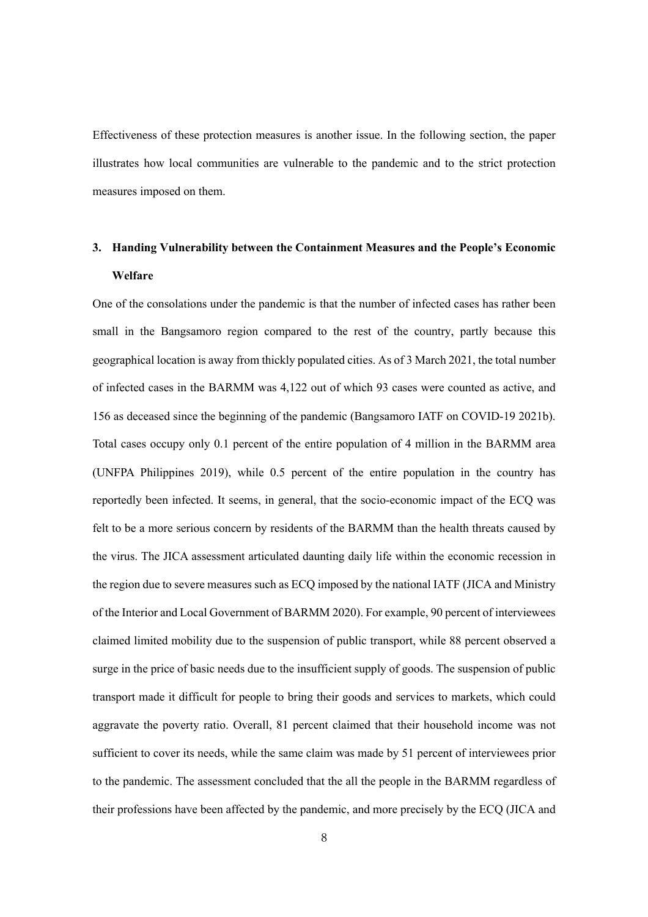Effectiveness of these protection measures is another issue. In the following section, the paper illustrates how local communities are vulnerable to the pandemic and to the strict protection measures imposed on them.

## **3. Handing Vulnerability between the Containment Measures and the People's Economic Welfare**

One of the consolations under the pandemic is that the number of infected cases has rather been small in the Bangsamoro region compared to the rest of the country, partly because this geographical location is away from thickly populated cities. As of 3 March 2021, the total number of infected cases in the BARMM was 4,122 out of which 93 cases were counted as active, and 156 as deceased since the beginning of the pandemic (Bangsamoro IATF on COVID-19 2021b). Total cases occupy only 0.1 percent of the entire population of 4 million in the BARMM area (UNFPA Philippines 2019), while 0.5 percent of the entire population in the country has reportedly been infected. It seems, in general, that the socio-economic impact of the ECQ was felt to be a more serious concern by residents of the BARMM than the health threats caused by the virus. The JICA assessment articulated daunting daily life within the economic recession in the region due to severe measures such as ECQ imposed by the national IATF (JICA and Ministry of the Interior and Local Government of BARMM 2020). For example, 90 percent of interviewees claimed limited mobility due to the suspension of public transport, while 88 percent observed a surge in the price of basic needs due to the insufficient supply of goods. The suspension of public transport made it difficult for people to bring their goods and services to markets, which could aggravate the poverty ratio. Overall, 81 percent claimed that their household income was not sufficient to cover its needs, while the same claim was made by 51 percent of interviewees prior to the pandemic. The assessment concluded that the all the people in the BARMM regardless of their professions have been affected by the pandemic, and more precisely by the ECQ (JICA and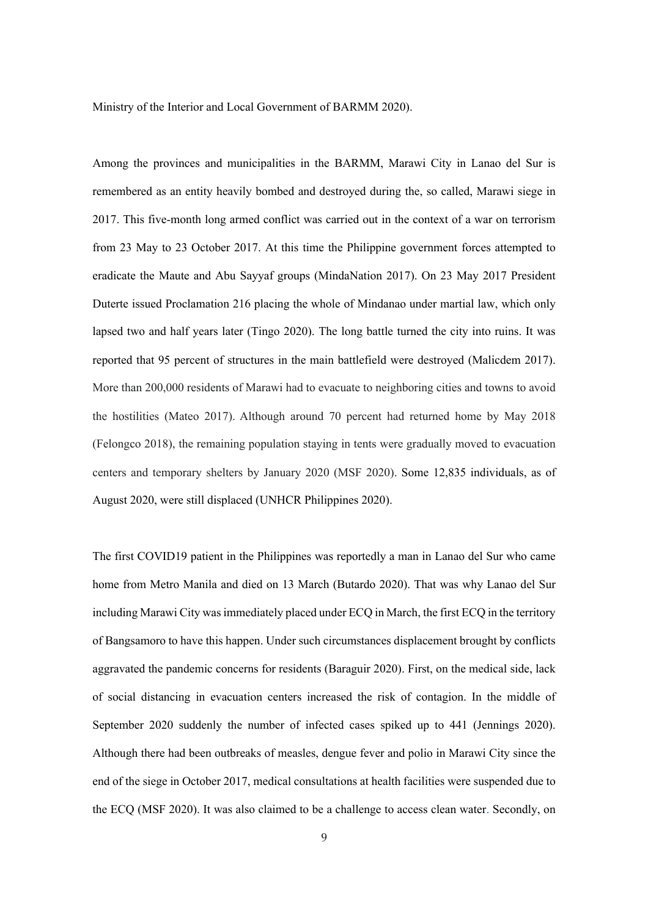Ministry of the Interior and Local Government of BARMM 2020).

Among the provinces and municipalities in the BARMM, Marawi City in Lanao del Sur is remembered as an entity heavily bombed and destroyed during the, so called, Marawi siege in 2017. This five-month long armed conflict was carried out in the context of a war on terrorism from 23 May to 23 October 2017. At this time the Philippine government forces attempted to eradicate the Maute and Abu Sayyaf groups (MindaNation 2017). On 23 May 2017 President Duterte issued Proclamation 216 placing the whole of Mindanao under martial law, which only lapsed two and half years later (Tingo 2020). The long battle turned the city into ruins. It was reported that 95 percent of structures in the main battlefield were destroyed (Malicdem 2017). More than 200,000 residents of Marawi had to evacuate to neighboring cities and towns to avoid the hostilities (Mateo 2017). Although around 70 percent had returned home by May 2018 (Felongco 2018), the remaining population staying in tents were gradually moved to evacuation centers and temporary shelters by January 2020 (MSF 2020). Some 12,835 individuals, as of August 2020, were still displaced (UNHCR Philippines 2020).

The first COVID19 patient in the Philippines was reportedly a man in Lanao del Sur who came home from Metro Manila and died on 13 March (Butardo 2020). That was why Lanao del Sur including Marawi City was immediately placed under ECQ in March, the first ECQ in the territory of Bangsamoro to have this happen. Under such circumstances displacement brought by conflicts aggravated the pandemic concerns for residents (Baraguir 2020). First, on the medical side, lack of social distancing in evacuation centers increased the risk of contagion. In the middle of September 2020 suddenly the number of infected cases spiked up to 441 (Jennings 2020). Although there had been outbreaks of measles, dengue fever and polio in Marawi City since the end of the siege in October 2017, medical consultations at health facilities were suspended due to the ECQ (MSF 2020). It was also claimed to be a challenge to access clean water. Secondly, on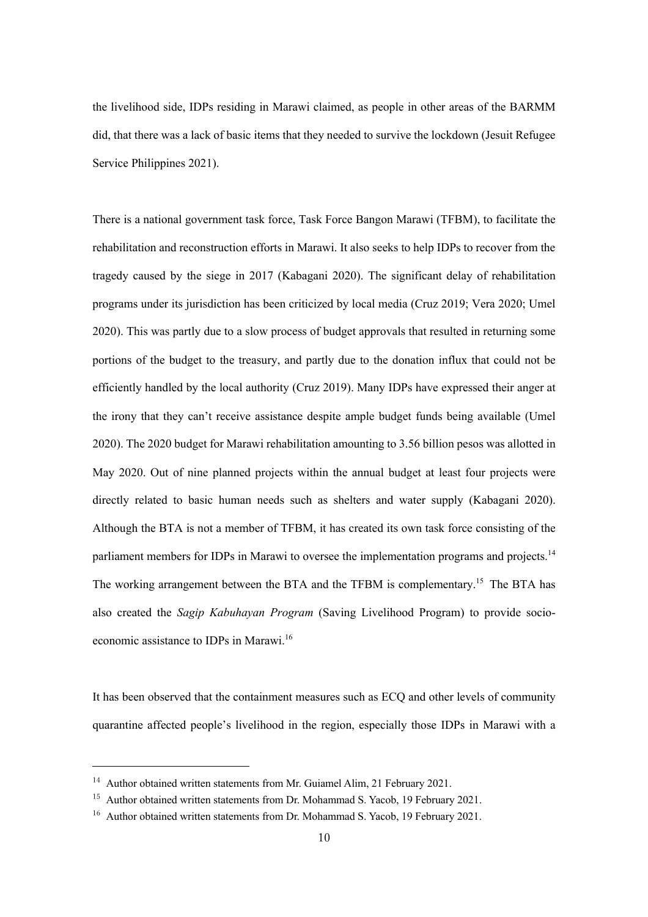the livelihood side, IDPs residing in Marawi claimed, as people in other areas of the BARMM did, that there was a lack of basic items that they needed to survive the lockdown (Jesuit Refugee Service Philippines 2021).

There is a national government task force, Task Force Bangon Marawi (TFBM), to facilitate the rehabilitation and reconstruction efforts in Marawi. It also seeks to help IDPs to recover from the tragedy caused by the siege in 2017 (Kabagani 2020). The significant delay of rehabilitation programs under its jurisdiction has been criticized by local media (Cruz 2019; Vera 2020; Umel 2020). This was partly due to a slow process of budget approvals that resulted in returning some portions of the budget to the treasury, and partly due to the donation influx that could not be efficiently handled by the local authority (Cruz 2019). Many IDPs have expressed their anger at the irony that they can't receive assistance despite ample budget funds being available (Umel 2020). The 2020 budget for Marawi rehabilitation amounting to 3.56 billion pesos was allotted in May 2020. Out of nine planned projects within the annual budget at least four projects were directly related to basic human needs such as shelters and water supply (Kabagani 2020). Although the BTA is not a member of TFBM, it has created its own task force consisting of the parliament members for IDPs in Marawi to oversee the implementation programs and projects.<sup>14</sup> The working arrangement between the BTA and the TFBM is complementary.<sup>15</sup> The BTA has also created the *Sagip Kabuhayan Program* (Saving Livelihood Program) to provide socioeconomic assistance to IDPs in Marawi.<sup>16</sup>

It has been observed that the containment measures such as ECQ and other levels of community quarantine affected people's livelihood in the region, especially those IDPs in Marawi with a

 $14$  Author obtained written statements from Mr. Guiamel Alim, 21 February 2021.

<sup>&</sup>lt;sup>15</sup> Author obtained written statements from Dr. Mohammad S. Yacob, 19 February 2021.

<sup>&</sup>lt;sup>16</sup> Author obtained written statements from Dr. Mohammad S. Yacob, 19 February 2021.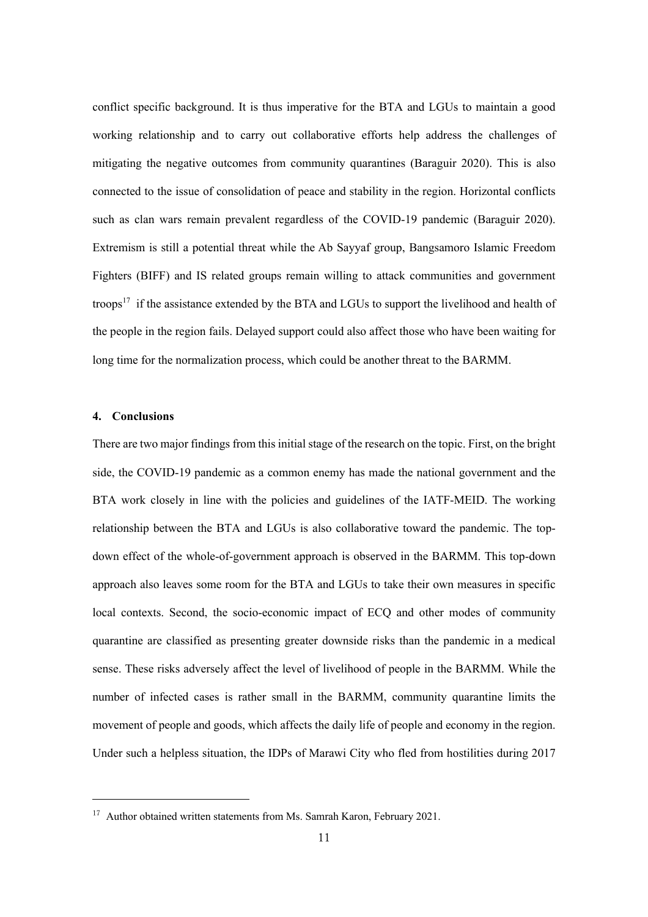conflict specific background. It is thus imperative for the BTA and LGUs to maintain a good working relationship and to carry out collaborative efforts help address the challenges of mitigating the negative outcomes from community quarantines (Baraguir 2020). This is also connected to the issue of consolidation of peace and stability in the region. Horizontal conflicts such as clan wars remain prevalent regardless of the COVID-19 pandemic (Baraguir 2020). Extremism is still a potential threat while the Ab Sayyaf group, Bangsamoro Islamic Freedom Fighters (BIFF) and IS related groups remain willing to attack communities and government troops<sup>17</sup> if the assistance extended by the BTA and LGUs to support the livelihood and health of the people in the region fails. Delayed support could also affect those who have been waiting for long time for the normalization process, which could be another threat to the BARMM.

#### **4. Conclusions**

There are two major findings from this initial stage of the research on the topic. First, on the bright side, the COVID-19 pandemic as a common enemy has made the national government and the BTA work closely in line with the policies and guidelines of the IATF-MEID. The working relationship between the BTA and LGUs is also collaborative toward the pandemic. The topdown effect of the whole-of-government approach is observed in the BARMM. This top-down approach also leaves some room for the BTA and LGUs to take their own measures in specific local contexts. Second, the socio-economic impact of ECQ and other modes of community quarantine are classified as presenting greater downside risks than the pandemic in a medical sense. These risks adversely affect the level of livelihood of people in the BARMM. While the number of infected cases is rather small in the BARMM, community quarantine limits the movement of people and goods, which affects the daily life of people and economy in the region. Under such a helpless situation, the IDPs of Marawi City who fled from hostilities during 2017

<sup>&</sup>lt;sup>17</sup> Author obtained written statements from Ms. Samrah Karon, February 2021.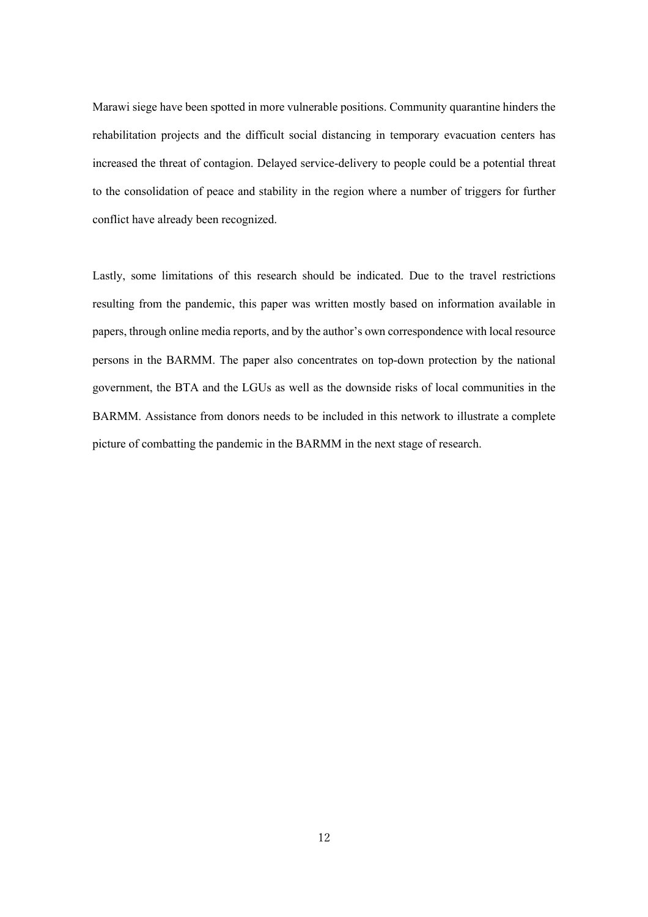Marawi siege have been spotted in more vulnerable positions. Community quarantine hinders the rehabilitation projects and the difficult social distancing in temporary evacuation centers has increased the threat of contagion. Delayed service-delivery to people could be a potential threat to the consolidation of peace and stability in the region where a number of triggers for further conflict have already been recognized.

Lastly, some limitations of this research should be indicated. Due to the travel restrictions resulting from the pandemic, this paper was written mostly based on information available in papers, through online media reports, and by the author's own correspondence with local resource persons in the BARMM. The paper also concentrates on top-down protection by the national government, the BTA and the LGUs as well as the downside risks of local communities in the BARMM. Assistance from donors needs to be included in this network to illustrate a complete picture of combatting the pandemic in the BARMM in the next stage of research.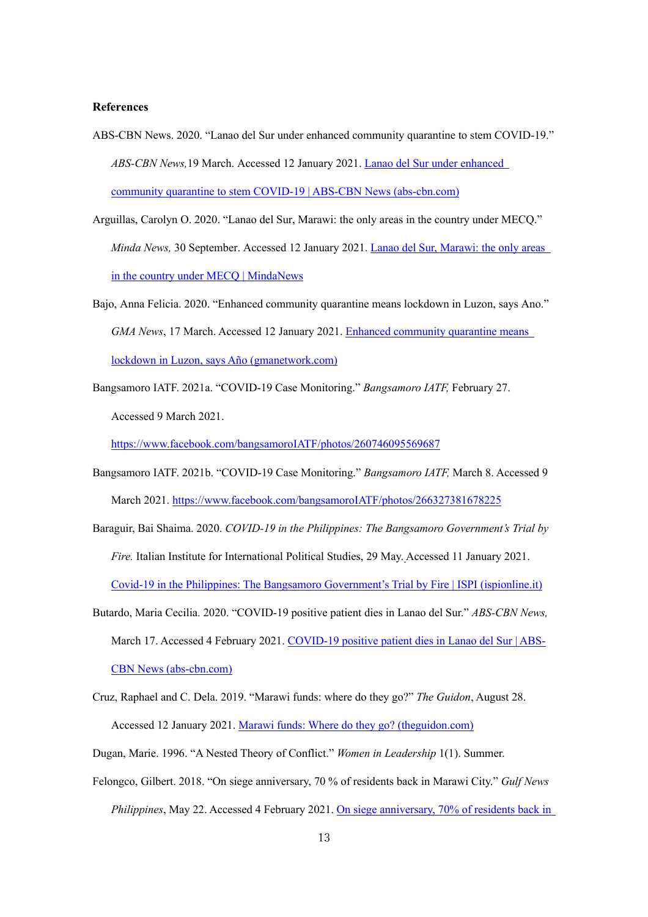#### **References**

- ABS-CBN News. 2020. "Lanao del Sur under enhanced community quarantine to stem COVID-19." *ABS-CBN News,*19 March. Accessed 12 January 2021. Lanao del Sur under enhanced community quarantine to stem COVID-19 | ABS-CBN News (abs-cbn.com)
- Arguillas, Carolyn O. 2020. "Lanao del Sur, Marawi: the only areas in the country under MECQ." *Minda News,* 30 September. Accessed 12 January 2021. Lanao del Sur, Marawi: the only areas in the country under MECQ | MindaNews
- Bajo, Anna Felicia. 2020. "Enhanced community quarantine means lockdown in Luzon, says Ano." *GMA News*, 17 March. Accessed 12 January 2021. Enhanced community quarantine means lockdown in Luzon, says Año (gmanetwork.com)
- Bangsamoro IATF. 2021a. "COVID-19 Case Monitoring." *Bangsamoro IATF,* February 27. Accessed 9 March 2021.

https://www.facebook.com/bangsamoroIATF/photos/260746095569687

- Bangsamoro IATF. 2021b. "COVID-19 Case Monitoring." *Bangsamoro IATF,* March 8. Accessed 9 March 2021. https://www.facebook.com/bangsamoroIATF/photos/266327381678225
- Baraguir, Bai Shaima. 2020. *COVID-19 in the Philippines: The Bangsamoro Government's Trial by Fire.* Italian Institute for International Political Studies, 29 May. Accessed 11 January 2021. Covid-19 in the Philippines: The Bangsamoro Government's Trial by Fire | ISPI (ispionline.it)
- Butardo, Maria Cecilia. 2020. "COVID-19 positive patient dies in Lanao del Sur." *ABS-CBN News,* March 17. Accessed 4 February 2021. COVID-19 positive patient dies in Lanao del Sur | ABS-CBN News (abs-cbn.com)
- Cruz, Raphael and C. Dela. 2019. "Marawi funds: where do they go?" *The Guidon*, August 28. Accessed 12 January 2021. Marawi funds: Where do they go? (theguidon.com)
- Dugan, Marie. 1996. "A Nested Theory of Conflict." *Women in Leadership* 1(1). Summer.
- Felongco, Gilbert. 2018. "On siege anniversary, 70 % of residents back in Marawi City." *Gulf News Philippines*, May 22. Accessed 4 February 2021. On siege anniversary, 70% of residents back in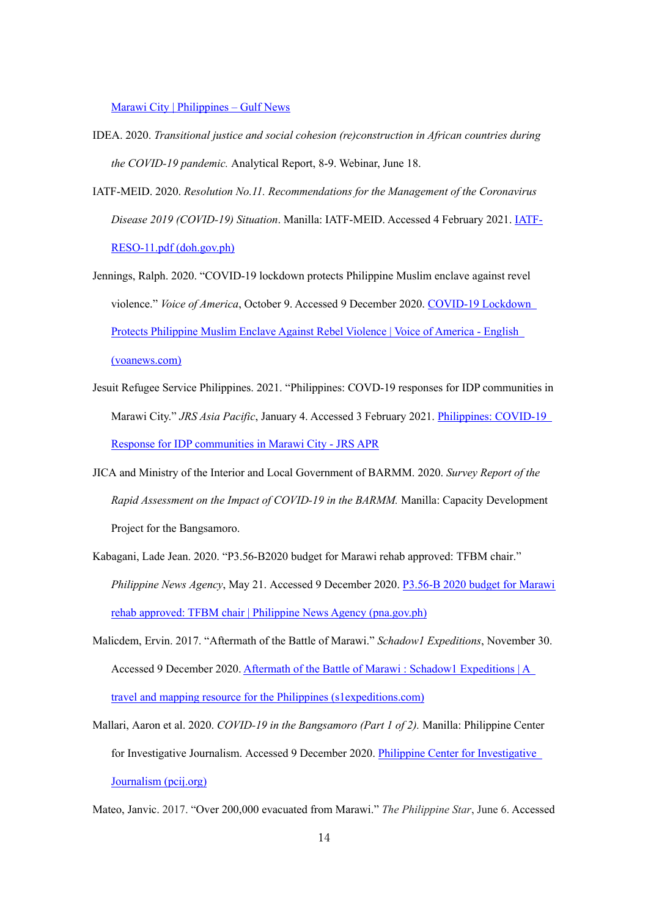Marawi City | Philippines – Gulf News

- IDEA. 2020. *Transitional justice and social cohesion (re)construction in African countries during the COVID-19 pandemic.* Analytical Report, 8-9. Webinar, June 18.
- IATF-MEID. 2020. *Resolution No.11. Recommendations for the Management of the Coronavirus Disease 2019 (COVID-19) Situation*. Manilla: IATF-MEID. Accessed 4 February 2021. IATF-RESO-11.pdf (doh.gov.ph)
- Jennings, Ralph. 2020. "COVID-19 lockdown protects Philippine Muslim enclave against revel violence." *Voice of America*, October 9. Accessed 9 December 2020. COVID-19 Lockdown Protects Philippine Muslim Enclave Against Rebel Violence | Voice of America - English (voanews.com)
- Jesuit Refugee Service Philippines. 2021. "Philippines: COVD-19 responses for IDP communities in Marawi City." *JRS Asia Pacific*, January 4. Accessed 3 February 2021. Philippines: COVID-19 Response for IDP communities in Marawi City - JRS APR
- JICA and Ministry of the Interior and Local Government of BARMM. 2020. *Survey Report of the Rapid Assessment on the Impact of COVID-19 in the BARMM.* Manilla: Capacity Development Project for the Bangsamoro.
- Kabagani, Lade Jean. 2020. "P3.56-B2020 budget for Marawi rehab approved: TFBM chair." *Philippine News Agency*, May 21. Accessed 9 December 2020. P3.56-B 2020 budget for Marawi rehab approved: TFBM chair | Philippine News Agency (pna.gov.ph)
- Malicdem, Ervin. 2017. "Aftermath of the Battle of Marawi." *Schadow1 Expeditions*, November 30. Accessed 9 December 2020. Aftermath of the Battle of Marawi : Schadow1 Expeditions | A travel and mapping resource for the Philippines (s1expeditions.com)
- Mallari, Aaron et al. 2020. *COVID-19 in the Bangsamoro (Part 1 of 2).* Manilla: Philippine Center for Investigative Journalism. Accessed 9 December 2020. Philippine Center for Investigative Journalism (pcij.org)

Mateo, Janvic. 2017. "Over 200,000 evacuated from Marawi." *The Philippine Star*, June 6. Accessed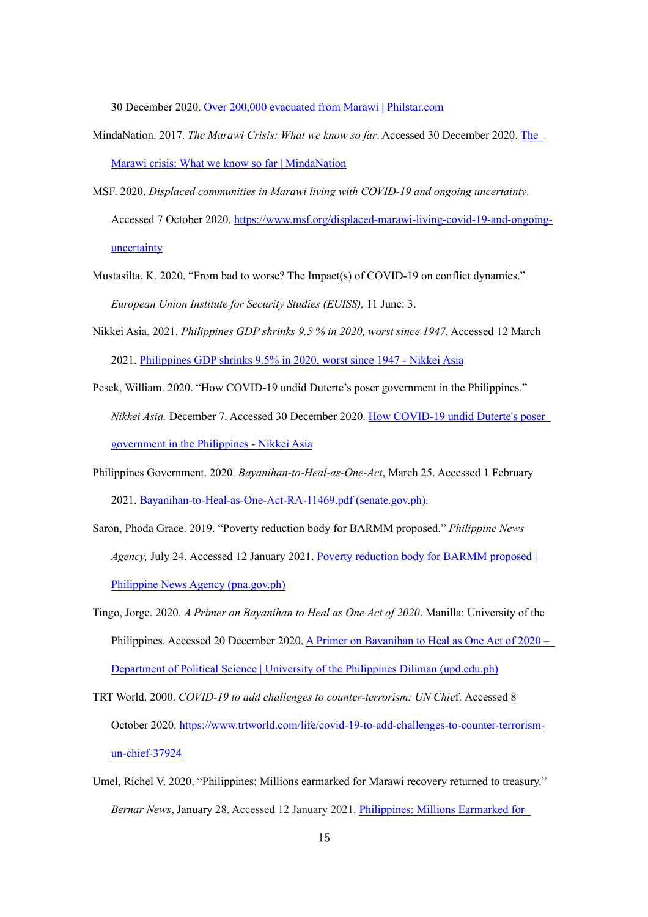30 December 2020. Over 200,000 evacuated from Marawi | Philstar.com

- MindaNation. 2017. *The Marawi Crisis: What we know so far*. Accessed 30 December 2020. The Marawi crisis: What we know so far | MindaNation
- MSF. 2020. *Displaced communities in Marawi living with COVID-19 and ongoing uncertainty*. Accessed 7 October 2020. https://www.msf.org/displaced-marawi-living-covid-19-and-ongoinguncertainty
- Mustasilta, K. 2020. "From bad to worse? The Impact(s) of COVID-19 on conflict dynamics." *European Union Institute for Security Studies (EUISS),* 11 June: 3.
- Nikkei Asia. 2021. *Philippines GDP shrinks 9.5 % in 2020, worst since 1947*. Accessed 12 March 2021. Philippines GDP shrinks 9.5% in 2020, worst since 1947 - Nikkei Asia
- Pesek, William. 2020. "How COVID-19 undid Duterte's poser government in the Philippines." *Nikkei Asia,* December 7. Accessed 30 December 2020. How COVID-19 undid Duterte's poser government in the Philippines - Nikkei Asia
- Philippines Government. 2020. *Bayanihan-to-Heal-as-One-Act*, March 25. Accessed 1 February 2021. Bayanihan-to-Heal-as-One-Act-RA-11469.pdf (senate.gov.ph).
- Saron, Phoda Grace. 2019. "Poverty reduction body for BARMM proposed." *Philippine News Agency,* July 24. Accessed 12 January 2021. Poverty reduction body for BARMM proposed | Philippine News Agency (pna.gov.ph)
- Tingo, Jorge. 2020. *A Primer on Bayanihan to Heal as One Act of 2020*. Manilla: University of the Philippines. Accessed 20 December 2020. A Primer on Bayanihan to Heal as One Act of 2020 – Department of Political Science | University of the Philippines Diliman (upd.edu.ph)
- TRT World. 2000. *COVID-19 to add challenges to counter-terrorism: UN Chie*f. Accessed 8 October 2020. https://www.trtworld.com/life/covid-19-to-add-challenges-to-counter-terrorismun-chief-37924
- Umel, Richel V. 2020. "Philippines: Millions earmarked for Marawi recovery returned to treasury." *Bernar News*, January 28. Accessed 12 January 2021. Philippines: Millions Earmarked for